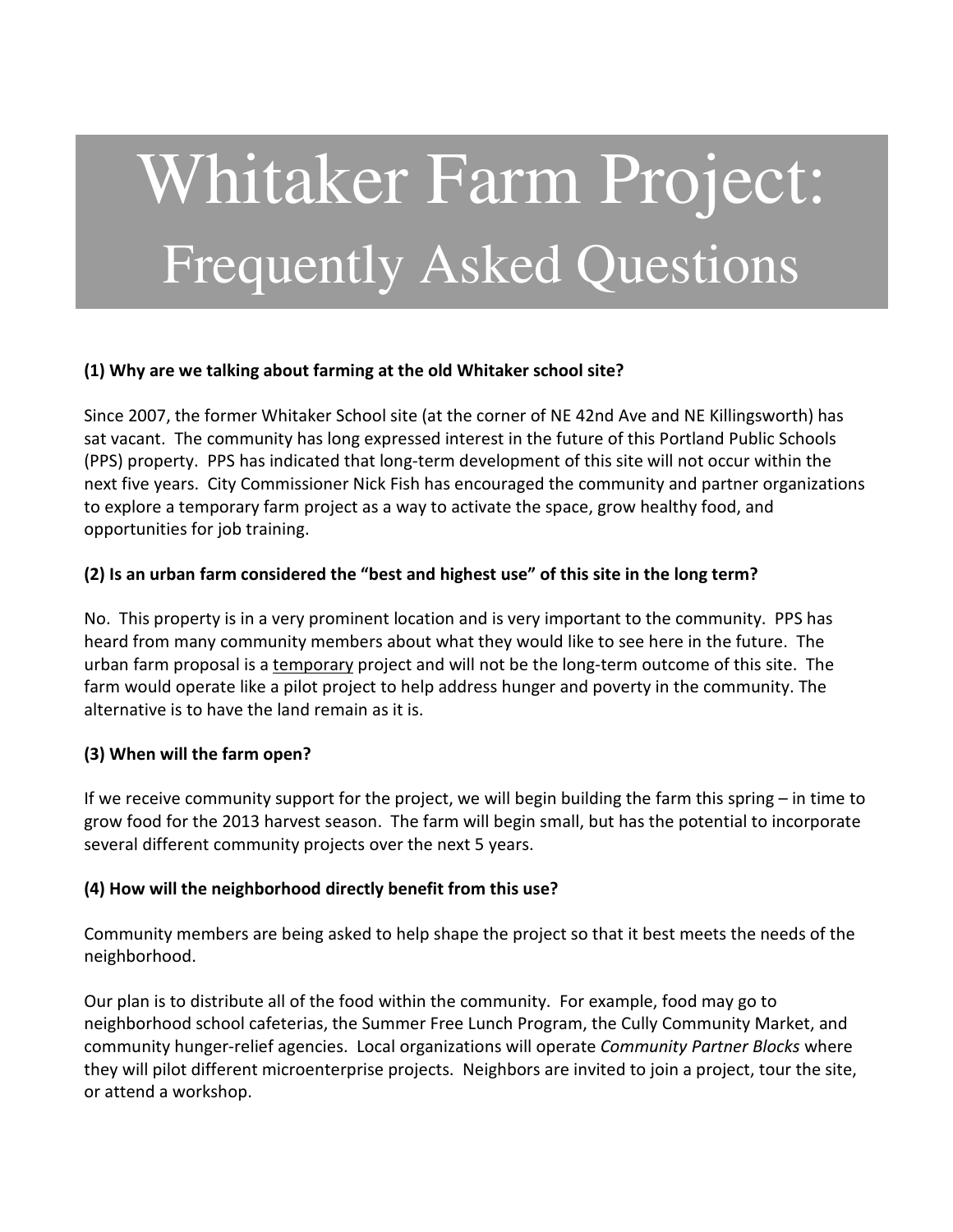# Whitaker Farm Project: Frequently Asked Questions

## **(1) Why are we talking about farming at the old Whitaker school site?**

Since 2007, the former Whitaker School site (at the corner of NE 42nd Ave and NE Killingsworth) has sat vacant. The community has long expressed interest in the future of this Portland Public Schools (PPS) property. PPS has indicated that long-term development of this site will not occur within the next five years. City Commissioner Nick Fish has encouraged the community and partner organizations to explore a temporary farm project as a way to activate the space, grow healthy food, and opportunities for job training.

# **(2) Is an urban farm considered the "best and highest use" of this site in the long term?**

No. This property is in a very prominent location and is very important to the community. PPS has heard from many community members about what they would like to see here in the future. The urban farm proposal is a temporary project and will not be the long-term outcome of this site. The farm would operate like a pilot project to help address hunger and poverty in the community. The alternative is to have the land remain as it is.

# **(3) When will the farm open?**

If we receive community support for the project, we will begin building the farm this spring – in time to grow food for the 2013 harvest season. The farm will begin small, but has the potential to incorporate several different community projects over the next 5 years.

# **(4) How will the neighborhood directly benefit from this use?**

Community members are being asked to help shape the project so that it best meets the needs of the neighborhood.

Our plan is to distribute all of the food within the community. For example, food may go to neighborhood school cafeterias, the Summer Free Lunch Program, the Cully Community Market, and community hunger-relief agencies. Local organizations will operate *Community Partner Blocks* where they will pilot different microenterprise projects. Neighbors are invited to join a project, tour the site, or attend a workshop.